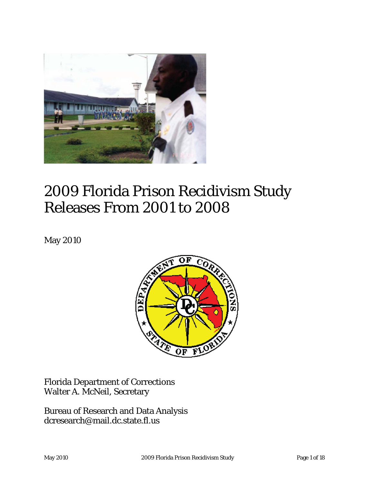

# 2009 Florida Prison Recidivism Study Releases From 2001 to 2008

May 2010



Florida Department of Corrections Walter A. McNeil, Secretary

Bureau of Research and Data Analysis dcresearch@mail.dc.state.fl.us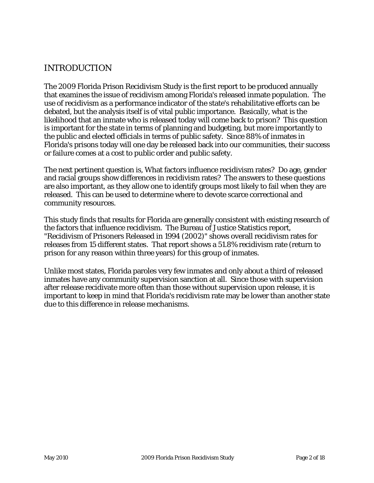### INTRODUCTION

The 2009 Florida Prison Recidivism Study is the first report to be produced annually that examines the issue of recidivism among Florida's released inmate population. The use of recidivism as a performance indicator of the state's rehabilitative efforts can be debated, but the analysis itself is of vital public importance. Basically, what is the likelihood that an inmate who is released today will come back to prison? This question is important for the state in terms of planning and budgeting, but more importantly to the public and elected officials in terms of public safety. Since 88% of inmates in Florida's prisons today will one day be released back into our communities, their success or failure comes at a cost to public order and public safety.

The next pertinent question is, What factors influence recidivism rates? Do age, gender and racial groups show differences in recidivism rates? The answers to these questions are also important, as they allow one to identify groups most likely to fail when they are released. This can be used to determine where to devote scarce correctional and community resources.

This study finds that results for Florida are generally consistent with existing research of the factors that influence recidivism. The Bureau of Justice Statistics report, "Recidivism of Prisoners Released in 1994 (2002)" shows overall recidivism rates for releases from 15 different states. That report shows a 51.8% recidivism rate (return to prison for any reason within three years) for this group of inmates.

Unlike most states, Florida paroles very few inmates and only about a third of released inmates have any community supervision sanction at all. Since those with supervision after release recidivate more often than those without supervision upon release, it is important to keep in mind that Florida's recidivism rate may be lower than another state due to this difference in release mechanisms.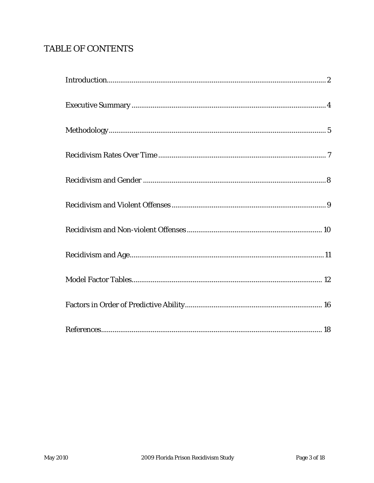## TABLE OF CONTENTS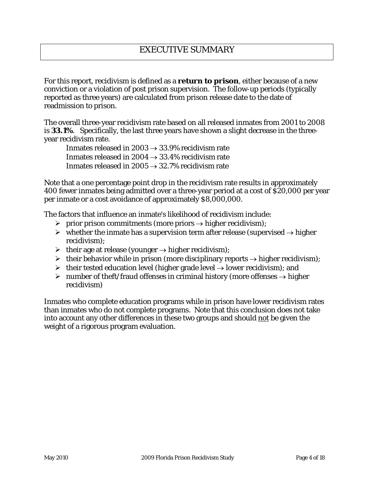For this report, recidivism is defined as a **return to prison**, either because of a new conviction or a violation of post prison supervision. The follow-up periods (typically reported as three years) are calculated from prison release date to the date of readmission to prison.

The overall three-year recidivism rate based on all released inmates from 2001 to 2008 is **33.1%**. Specifically, the last three years have shown a slight decrease in the threeyear recidivism rate.

Inmates released in  $2003 \rightarrow 33.9\%$  recidivism rate Inmates released in  $2004 \rightarrow 33.4\%$  recidivism rate Inmates released in  $2005 \rightarrow 32.7\%$  recidivism rate

Note that a one percentage point drop in the recidivism rate results in approximately 400 fewer inmates being admitted over a three-year period at a cost of \$20,000 per year per inmate or a cost avoidance of approximately \$8,000,000.

The factors that influence an inmate's likelihood of recidivism include:

- > prior prison commitments (more priors  $\rightarrow$  higher recidivism);
- $\triangleright$  whether the inmate has a supervision term after release (supervised → higher recidivism);
- $\triangleright$  their age at release (younger  $\rightarrow$  higher recidivism);
- $\triangleright$  their behavior while in prison (more disciplinary reports  $\rightarrow$  higher recidivism);
- $\triangleright$  their tested education level (higher grade level  $\rightarrow$  lower recidivism); and
- > number of theft/fraud offenses in criminal history (more offenses  $\rightarrow$  higher recidivism)

Inmates who complete education programs while in prison have lower recidivism rates than inmates who do not complete programs. Note that this conclusion does not take into account any other differences in these two groups and should not be given the weight of a rigorous program evaluation.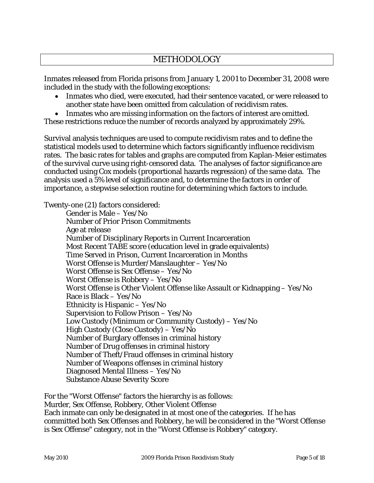### METHODOLOGY

Inmates released from Florida prisons from January 1, 2001 to December 31, 2008 were included in the study with the following exceptions:

- Inmates who died, were executed, had their sentence vacated, or were released to another state have been omitted from calculation of recidivism rates.
- Inmates who are missing information on the factors of interest are omitted.

These restrictions reduce the number of records analyzed by approximately 29%.

Survival analysis techniques are used to compute recidivism rates and to define the statistical models used to determine which factors significantly influence recidivism rates. The basic rates for tables and graphs are computed from Kaplan-Meier estimates of the survival curve using right-censored data. The analyses of factor significance are conducted using Cox models (proportional hazards regression) of the same data. The analysis used a 5% level of significance and, to determine the factors in order of importance, a stepwise selection routine for determining which factors to include.

Twenty-one (21) factors considered:

Gender is Male – Yes/No Number of Prior Prison Commitments Age at release Number of Disciplinary Reports in Current Incarceration Most Recent TABE score (education level in grade equivalents) Time Served in Prison, Current Incarceration in Months Worst Offense is Murder/Manslaughter – Yes/No Worst Offense is Sex Offense – Yes/No Worst Offense is Robbery – Yes/No Worst Offense is Other Violent Offense like Assault or Kidnapping – Yes/No Race is Black – Yes/No Ethnicity is Hispanic – Yes/No Supervision to Follow Prison – Yes/No Low Custody (Minimum or Community Custody) – Yes/No High Custody (Close Custody) – Yes/No Number of Burglary offenses in criminal history Number of Drug offenses in criminal history Number of Theft/Fraud offenses in criminal history Number of Weapons offenses in criminal history Diagnosed Mental Illness – Yes/No Substance Abuse Severity Score

For the "Worst Offense" factors the hierarchy is as follows: Murder, Sex Offense, Robbery, Other Violent Offense Each inmate can only be designated in at most one of the categories. If he has committed both Sex Offenses and Robbery, he will be considered in the "Worst Offense is Sex Offense" category, not in the "Worst Offense is Robbery" category.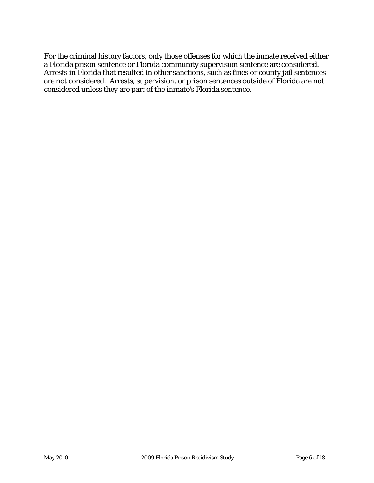For the criminal history factors, only those offenses for which the inmate received either a Florida prison sentence or Florida community supervision sentence are considered. Arrests in Florida that resulted in other sanctions, such as fines or county jail sentences are not considered. Arrests, supervision, or prison sentences outside of Florida are not considered unless they are part of the inmate's Florida sentence.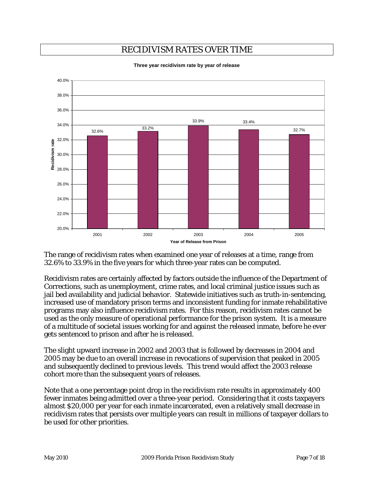## RECIDIVISM RATES OVER TIME



**Three year recidivism rate by year of release**

The range of recidivism rates when examined one year of releases at a time, range from 32.6% to 33.9% in the five years for which three-year rates can be computed.

Recidivism rates are certainly affected by factors outside the influence of the Department of Corrections, such as unemployment, crime rates, and local criminal justice issues such as jail bed availability and judicial behavior. Statewide initiatives such as truth-in-sentencing, increased use of mandatory prison terms and inconsistent funding for inmate rehabilitative programs may also influence recidivism rates. For this reason, recidivism rates cannot be used as the only measure of operational performance for the prison system. It is a measure of a multitude of societal issues working for and against the released inmate, before he ever gets sentenced to prison and after he is released.

The slight upward increase in 2002 and 2003 that is followed by decreases in 2004 and 2005 may be due to an overall increase in revocations of supervision that peaked in 2005 and subsequently declined to previous levels. This trend would affect the 2003 release cohort more than the subsequent years of releases.

Note that a one percentage point drop in the recidivism rate results in approximately 400 fewer inmates being admitted over a three-year period. Considering that it costs taxpayers almost \$20,000 per year for each inmate incarcerated, even a relatively small decrease in recidivism rates that persists over multiple years can result in millions of taxpayer dollars to be used for other priorities.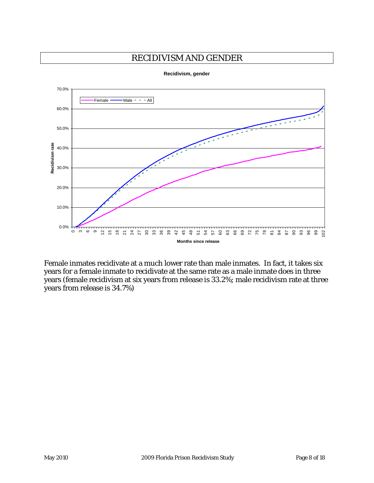#### RECIDIVISM AND GENDER



**Recidivism, gender**

Female inmates recidivate at a much lower rate than male inmates. In fact, it takes six years for a female inmate to recidivate at the same rate as a male inmate does in three years (female recidivism at six years from release is 33.2%; male recidivism rate at three years from release is 34.7%)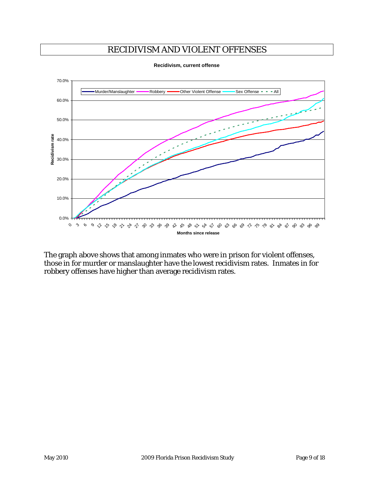## RECIDIVISM AND VIOLENT OFFENSES



**Recidivism, current offense**

The graph above shows that among inmates who were in prison for violent offenses, those in for murder or manslaughter have the lowest recidivism rates. Inmates in for robbery offenses have higher than average recidivism rates.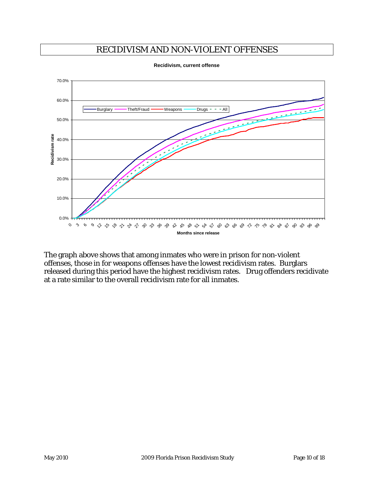### RECIDIVISM AND NON-VIOLENT OFFENSES



**Recidivism, current offense**

The graph above shows that among inmates who were in prison for non-violent offenses, those in for weapons offenses have the lowest recidivism rates. Burglars released during this period have the highest recidivism rates. Drug offenders recidivate at a rate similar to the overall recidivism rate for all inmates.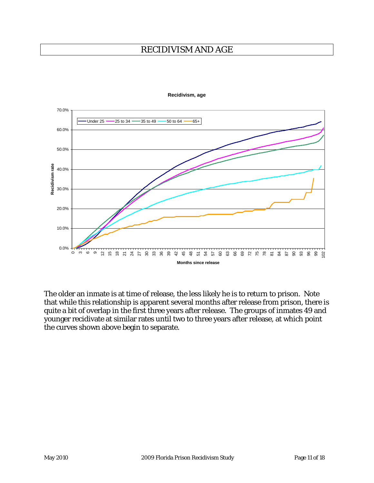#### RECIDIVISM AND AGE



**Recidivism, age**

The older an inmate is at time of release, the less likely he is to return to prison. Note that while this relationship is apparent several months after release from prison, there is quite a bit of overlap in the first three years after release. The groups of inmates 49 and younger recidivate at similar rates until two to three years after release, at which point the curves shown above begin to separate.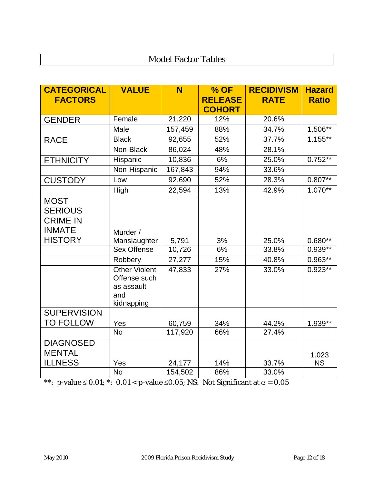# Model Factor Tables

| <b>CATEGORICAL</b>                               | <b>VALUE</b>                                                            | N       | $%$ OF         | <b>RECIDIVISM</b> | <b>Hazard</b> |
|--------------------------------------------------|-------------------------------------------------------------------------|---------|----------------|-------------------|---------------|
| <b>FACTORS</b>                                   |                                                                         |         | <b>RELEASE</b> | <b>RATE</b>       | <b>Ratio</b>  |
|                                                  |                                                                         |         | <b>COHORT</b>  |                   |               |
| <b>GENDER</b>                                    | Female                                                                  | 21,220  | 12%            | 20.6%             |               |
|                                                  | Male                                                                    | 157,459 | 88%            | 34.7%             | 1.506**       |
| <b>RACE</b>                                      | <b>Black</b>                                                            | 92,655  | 52%            | 37.7%             | $1.155**$     |
|                                                  | Non-Black                                                               | 86,024  | 48%            | 28.1%             |               |
| <b>ETHNICITY</b>                                 | Hispanic                                                                | 10,836  | 6%             | 25.0%             | $0.752**$     |
|                                                  | Non-Hispanic                                                            | 167,843 | 94%            | 33.6%             |               |
| <b>CUSTODY</b>                                   | Low                                                                     | 92,690  | 52%            | 28.3%             | $0.807***$    |
|                                                  | High                                                                    | 22,594  | 13%            | 42.9%             | 1.070**       |
| <b>MOST</b><br><b>SERIOUS</b><br><b>CRIME IN</b> |                                                                         |         |                |                   |               |
| <b>INMATE</b>                                    | Murder /                                                                |         |                |                   |               |
| <b>HISTORY</b>                                   | Manslaughter                                                            | 5,791   | 3%             | 25.0%             | $0.680**$     |
|                                                  | <b>Sex Offense</b>                                                      | 10,726  | 6%             | 33.8%             | $0.939**$     |
|                                                  | Robbery                                                                 | 27,277  | 15%            | 40.8%             | $0.963**$     |
|                                                  | <b>Other Violent</b><br>Offense such<br>as assault<br>and<br>kidnapping | 47,833  | 27%            | 33.0%             | $0.923**$     |
| <b>SUPERVISION</b>                               |                                                                         |         |                |                   |               |
| <b>TO FOLLOW</b>                                 | Yes                                                                     | 60,759  | 34%            | 44.2%             | 1.939**       |
|                                                  | <b>No</b>                                                               | 117,920 | 66%            | 27.4%             |               |
| <b>DIAGNOSED</b><br><b>MENTAL</b>                |                                                                         |         |                |                   | 1.023         |
| <b>ILLNESS</b>                                   | Yes                                                                     | 24,177  | 14%            | 33.7%             | <b>NS</b>     |
|                                                  | <b>No</b>                                                               | 154,502 | 86%            | 33.0%             |               |

\*\*: p-value  $\leq 0.01$ ; \*: 0.01 < p-value  $\leq 0.05$ ; NS: Not Significant at  $\alpha = 0.05$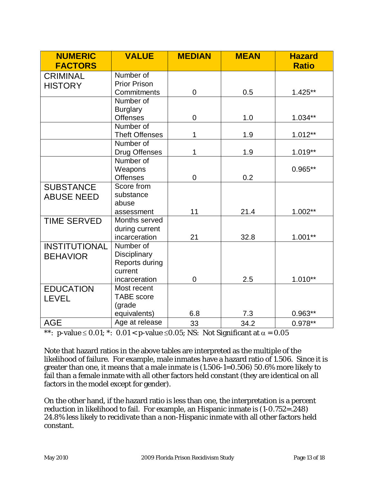| <b>NUMERIC</b><br><b>FACTORS</b> | <b>VALUE</b>                     | <b>MEDIAN</b> | <b>MEAN</b> | <b>Hazard</b><br><b>Ratio</b> |
|----------------------------------|----------------------------------|---------------|-------------|-------------------------------|
| <b>CRIMINAL</b>                  | Number of                        |               |             |                               |
| <b>HISTORY</b>                   | <b>Prior Prison</b>              |               |             |                               |
|                                  | Commitments                      | 0             | 0.5         | $1.425**$                     |
|                                  | Number of                        |               |             |                               |
|                                  | <b>Burglary</b>                  |               |             |                               |
|                                  | <b>Offenses</b>                  | 0             | 1.0         | $1.034**$                     |
|                                  | Number of                        |               |             |                               |
|                                  | <b>Theft Offenses</b>            | 1             | 1.9         | $1.012**$                     |
|                                  | Number of                        |               |             |                               |
|                                  | Drug Offenses                    | 1             | 1.9         | $1.019**$                     |
|                                  | Number of                        |               |             |                               |
|                                  | Weapons                          |               |             | $0.965**$                     |
|                                  | <b>Offenses</b>                  | 0             | 0.2         |                               |
| <b>SUBSTANCE</b>                 | Score from                       |               |             |                               |
| <b>ABUSE NEED</b>                | substance                        |               |             |                               |
|                                  | abuse                            |               |             |                               |
|                                  | assessment                       | 11            | 21.4        | $1.002**$                     |
| <b>TIME SERVED</b>               | Months served                    |               |             |                               |
|                                  | during current                   |               |             |                               |
|                                  | incarceration                    | 21            | 32.8        | $1.001**$                     |
| <b>INSTITUTIONAL</b>             | Number of                        |               |             |                               |
| <b>BEHAVIOR</b>                  | Disciplinary                     |               |             |                               |
|                                  | Reports during                   |               |             |                               |
|                                  | current                          |               | 2.5         | $1.010**$                     |
|                                  | incarceration                    | 0             |             |                               |
| <b>EDUCATION</b>                 | Most recent<br><b>TABE</b> score |               |             |                               |
| <b>LEVEL</b>                     | (grade                           |               |             |                               |
|                                  | equivalents)                     | 6.8           | 7.3         | $0.963**$                     |
|                                  | Age at release                   |               |             |                               |
| <b>AGE</b>                       |                                  | 33            | 34.2        | $0.978**$                     |

\*\*: p-value  $\leq 0.01$ ; \*: 0.01 < p-value  $\leq 0.05$ ; NS: Not Significant at  $\alpha = 0.05$ 

Note that hazard ratios in the above tables are interpreted as the multiple of the likelihood of failure. For example, male inmates have a hazard ratio of 1.506. Since it is greater than one, it means that a male inmate is (1.506-1=0.506) 50.6% more likely to fail than a female inmate with all other factors held constant (they are identical on all factors in the model except for gender).

On the other hand, if the hazard ratio is less than one, the interpretation is a percent reduction in likelihood to fail. For example, an Hispanic inmate is (1-0.752=.248) 24.8% less likely to recidivate than a non-Hispanic inmate with all other factors held constant.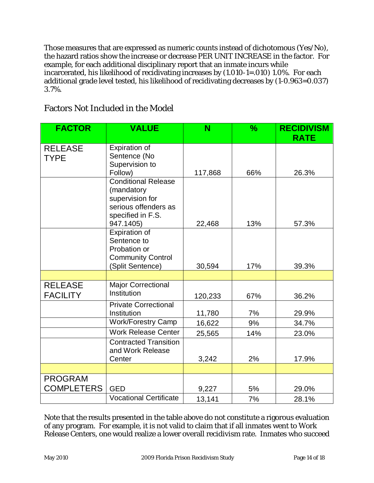Those measures that are expressed as numeric counts instead of dichotomous (Yes/No), the hazard ratios show the increase or decrease PER UNIT INCREASE in the factor. For example, for each additional disciplinary report that an inmate incurs while incarcerated, his likelihood of recidivating increases by (1.010-1=.010) 1.0%. For each additional grade level tested, his likelihood of recidivating decreases by (1-0.963=0.037) 3.7%.

| <b>FACTOR</b>                       | <b>VALUE</b>                                                                                                          | N       | $\frac{9}{6}$ | <b>RECIDIVISM</b><br><b>RATE</b> |
|-------------------------------------|-----------------------------------------------------------------------------------------------------------------------|---------|---------------|----------------------------------|
| <b>RELEASE</b><br><b>TYPE</b>       | Expiration of<br>Sentence (No<br>Supervision to<br>Follow)                                                            | 117,868 | 66%           | 26.3%                            |
|                                     | <b>Conditional Release</b><br>(mandatory<br>supervision for<br>serious offenders as<br>specified in F.S.<br>947.1405) | 22,468  | 13%           | 57.3%                            |
|                                     | Expiration of<br>Sentence to<br>Probation or<br><b>Community Control</b><br>(Split Sentence)                          | 30,594  | 17%           | 39.3%                            |
|                                     |                                                                                                                       |         |               |                                  |
| <b>RELEASE</b><br><b>FACILITY</b>   | <b>Major Correctional</b><br>Institution                                                                              | 120,233 | 67%           | 36.2%                            |
|                                     | <b>Private Correctional</b><br>Institution                                                                            | 11,780  | 7%            | 29.9%                            |
|                                     | <b>Work/Forestry Camp</b>                                                                                             | 16,622  | 9%            | 34.7%                            |
|                                     | <b>Work Release Center</b>                                                                                            | 25,565  | 14%           | 23.0%                            |
|                                     | <b>Contracted Transition</b><br>and Work Release<br>Center                                                            | 3,242   | 2%            | 17.9%                            |
|                                     |                                                                                                                       |         |               |                                  |
| <b>PROGRAM</b><br><b>COMPLETERS</b> | <b>GED</b>                                                                                                            | 9,227   | 5%            | 29.0%                            |
|                                     | <b>Vocational Certificate</b>                                                                                         | 13,141  | 7%            | 28.1%                            |

#### Factors Not Included in the Model

Note that the results presented in the table above do not constitute a rigorous evaluation of any program. For example, it is not valid to claim that if all inmates went to Work Release Centers, one would realize a lower overall recidivism rate. Inmates who succeed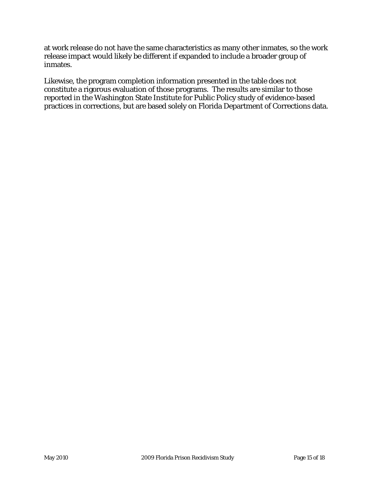at work release do not have the same characteristics as many other inmates, so the work release impact would likely be different if expanded to include a broader group of inmates.

Likewise, the program completion information presented in the table does not constitute a rigorous evaluation of those programs. The results are similar to those reported in the Washington State Institute for Public Policy study of evidence-based practices in corrections, but are based solely on Florida Department of Corrections data.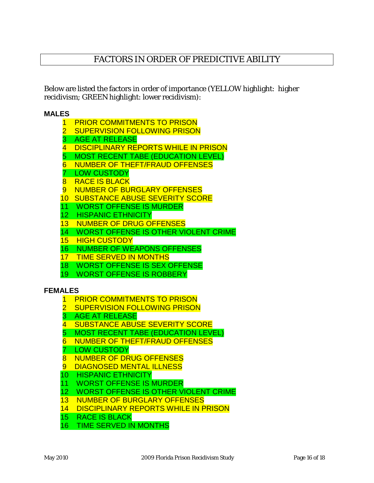#### FACTORS IN ORDER OF PREDICTIVE ABILITY

Below are listed the factors in order of importance (YELLOW highlight: higher recidivism; GREEN highlight: lower recidivism):

#### **MALES**

- 1 PRIOR COMMITMENTS TO PRISON
- **SUPERVISION FOLLOWING PRISON**
- 3 AGE AT RELEASE
- 4 DISCIPLINARY REPORTS WHILE IN PRISON
- 5 MOST RECENT TABE (EDUCATION LEVEL)
- 6 NUMBER OF THEFT/FRAUD OFFENSES
- 7 LOW CUSTODY
- 8 RACE IS BLACK
- 9 NUMBER OF BURGLARY OFFENSES
- 10 SUBSTANCE ABUSE SEVERITY SCORE
- 11 WORST OFFENSE IS MURDER
- 12 HISPANIC ETHNICITY
- 13 NUMBER OF DRUG OFFENSES
- 14 WORST OFFENSE IS OTHER VIOLENT CRIME
- 15 HIGH CUSTODY
- 16 NUMBER OF WEAPONS OFFENSES
- 17 TIME SERVED IN MONTHS
- 18 WORST OFFENSE IS SEX OFFENSE
- 19 WORST OFFENSE IS ROBBERY

#### **FEMALES**

- 1 PRIOR COMMITMENTS TO PRISON
- 2 SUPERVISION FOLLOWING PRISON
- 3 AGE AT RELEASE
- 4 SUBSTANCE ABUSE SEVERITY SCORE
- 5 MOST RECENT TABE (EDUCATION LEVEL)
- 6 NUMBER OF THEFT/FRAUD OFFENSES
- **LOW CUSTODY**
- 8 NUMBER OF DRUG OFFENSES
- 9 DIAGNOSED MENTAL ILLNESS
- 10 HISPANIC ETHNICITY
- 11 WORST OFFENSE IS MURDER
- 12 WORST OFFENSE IS OTHER VIOLENT CRIME
- 13 NUMBER OF BURGLARY OFFENSES
- 14 DISCIPLINARY REPORTS WHILE IN PRISON
- 15 RACE IS BLACK
- 16 TIME SERVED IN MONTHS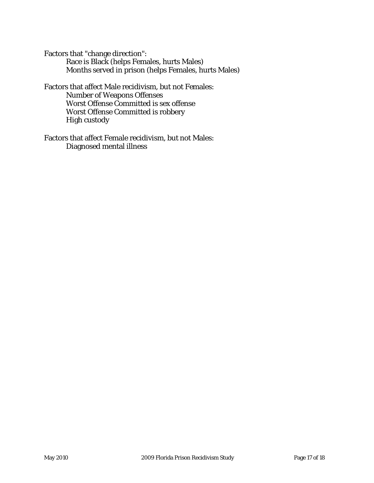Factors that "change direction": Race is Black (helps Females, hurts Males) Months served in prison (helps Females, hurts Males)

Factors that affect Male recidivism, but not Females: Number of Weapons Offenses Worst Offense Committed is sex offense Worst Offense Committed is robbery High custody

Factors that affect Female recidivism, but not Males: Diagnosed mental illness